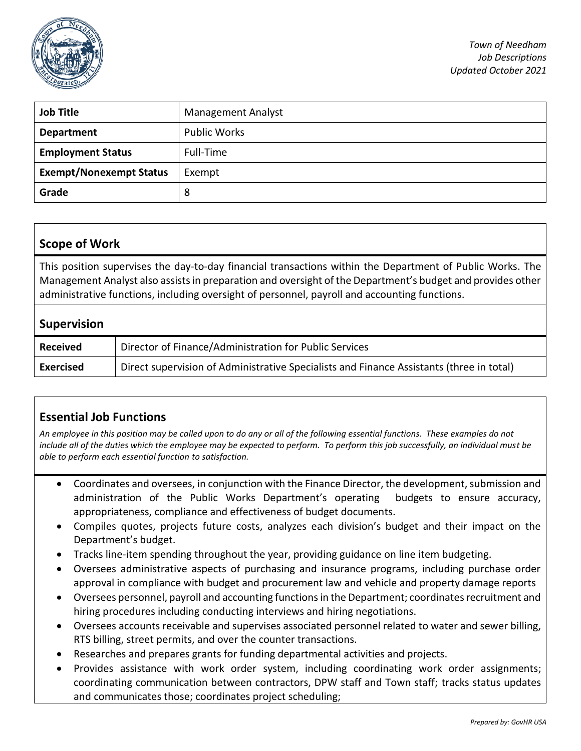

| <b>Job Title</b>               | <b>Management Analyst</b> |
|--------------------------------|---------------------------|
| <b>Department</b>              | <b>Public Works</b>       |
| <b>Employment Status</b>       | Full-Time                 |
| <b>Exempt/Nonexempt Status</b> | Exempt                    |
| Grade                          | 8                         |

### **Scope of Work**

This position supervises the day-to-day financial transactions within the Department of Public Works. The Management Analyst also assists in preparation and oversight of the Department's budget and provides other administrative functions, including oversight of personnel, payroll and accounting functions.

#### **Supervision**

| <b>Received</b> | Director of Finance/Administration for Public Services                                   |
|-----------------|------------------------------------------------------------------------------------------|
| Exercised       | Direct supervision of Administrative Specialists and Finance Assistants (three in total) |

# **Essential Job Functions**

*An employee in this position may be called upon to do any or all of the following essential functions. These examples do not include all of the duties which the employee may be expected to perform. To perform this job successfully, an individual must be able to perform each essential function to satisfaction.* 

- Coordinates and oversees, in conjunction with the Finance Director, the development, submission and administration of the Public Works Department's operating budgets to ensure accuracy, appropriateness, compliance and effectiveness of budget documents.
- Compiles quotes, projects future costs, analyzes each division's budget and their impact on the Department's budget.
- Tracks line-item spending throughout the year, providing guidance on line item budgeting.
- Oversees administrative aspects of purchasing and insurance programs, including purchase order approval in compliance with budget and procurement law and vehicle and property damage reports
- Oversees personnel, payroll and accounting functions in the Department; coordinates recruitment and hiring procedures including conducting interviews and hiring negotiations.
- Oversees accounts receivable and supervises associated personnel related to water and sewer billing, RTS billing, street permits, and over the counter transactions.
- Researches and prepares grants for funding departmental activities and projects.
- Provides assistance with work order system, including coordinating work order assignments; coordinating communication between contractors, DPW staff and Town staff; tracks status updates and communicates those; coordinates project scheduling;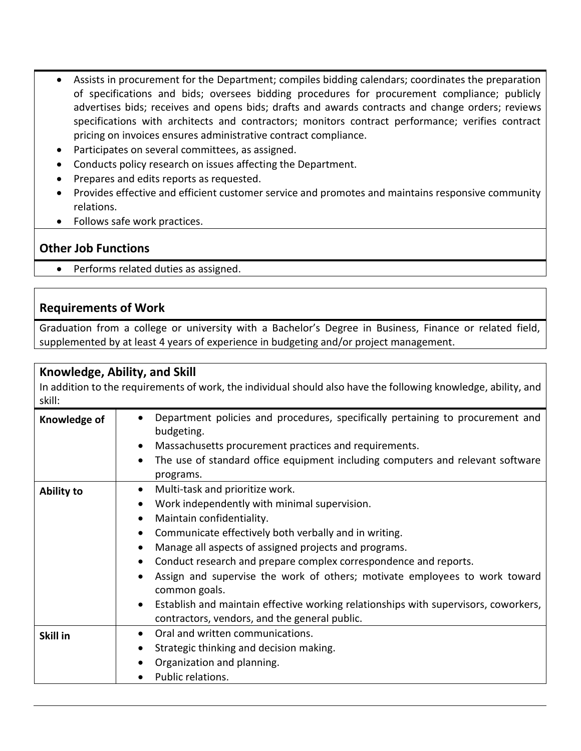- Assists in procurement for the Department; compiles bidding calendars; coordinates the preparation of specifications and bids; oversees bidding procedures for procurement compliance; publicly advertises bids; receives and opens bids; drafts and awards contracts and change orders; reviews specifications with architects and contractors; monitors contract performance; verifies contract pricing on invoices ensures administrative contract compliance.
- Participates on several committees, as assigned.
- Conducts policy research on issues affecting the Department.
- Prepares and edits reports as requested.
- Provides effective and efficient customer service and promotes and maintains responsive community relations.
- Follows safe work practices.

#### **Other Job Functions**

• Performs related duties as assigned.

#### **Requirements of Work**

Graduation from a college or university with a Bachelor's Degree in Business, Finance or related field, supplemented by at least 4 years of experience in budgeting and/or project management.

### **Knowledge, Ability, and Skill**

In addition to the requirements of work, the individual should also have the following knowledge, ability, and skill:

| Knowledge of      | Department policies and procedures, specifically pertaining to procurement and<br>budgeting.<br>Massachusetts procurement practices and requirements.<br>The use of standard office equipment including computers and relevant software<br>$\bullet$<br>programs.                                                                                                                                                                                                                                                                                                                                               |
|-------------------|-----------------------------------------------------------------------------------------------------------------------------------------------------------------------------------------------------------------------------------------------------------------------------------------------------------------------------------------------------------------------------------------------------------------------------------------------------------------------------------------------------------------------------------------------------------------------------------------------------------------|
| <b>Ability to</b> | Multi-task and prioritize work.<br>$\bullet$<br>Work independently with minimal supervision.<br>$\bullet$<br>Maintain confidentiality.<br>٠<br>Communicate effectively both verbally and in writing.<br>$\bullet$<br>Manage all aspects of assigned projects and programs.<br>Conduct research and prepare complex correspondence and reports.<br>$\bullet$<br>Assign and supervise the work of others; motivate employees to work toward<br>common goals.<br>Establish and maintain effective working relationships with supervisors, coworkers,<br>$\bullet$<br>contractors, vendors, and the general public. |
| Skill in          | Oral and written communications.<br>Strategic thinking and decision making.<br>Organization and planning.<br>Public relations.                                                                                                                                                                                                                                                                                                                                                                                                                                                                                  |